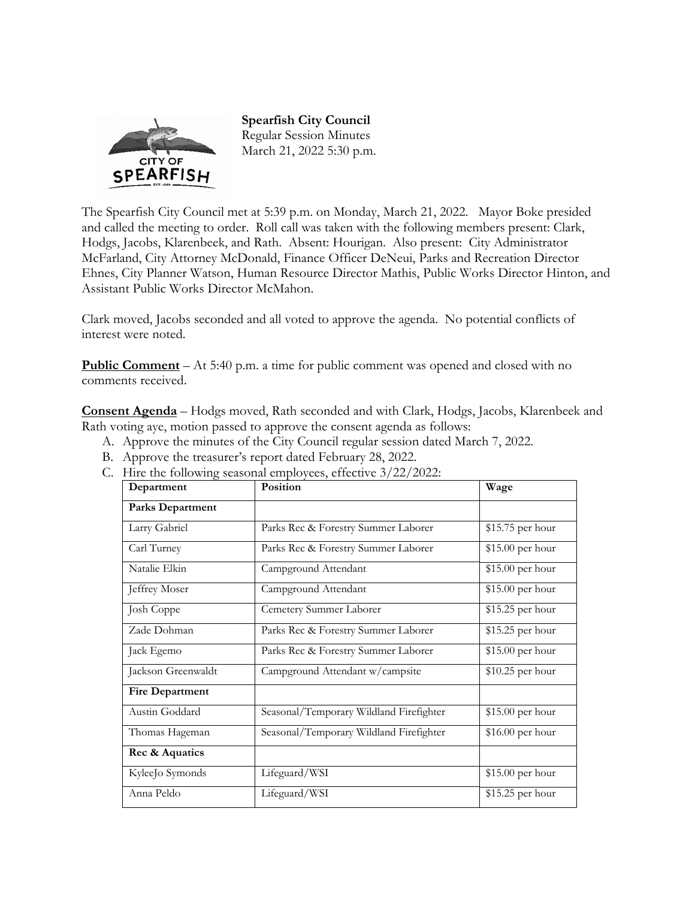

**Spearfish City Council**  Regular Session Minutes March 21, 2022 5:30 p.m.

The Spearfish City Council met at 5:39 p.m. on Monday, March 21, 2022. Mayor Boke presided and called the meeting to order. Roll call was taken with the following members present: Clark, Hodgs, Jacobs, Klarenbeek, and Rath. Absent: Hourigan. Also present: City Administrator McFarland, City Attorney McDonald, Finance Officer DeNeui, Parks and Recreation Director Ehnes, City Planner Watson, Human Resource Director Mathis, Public Works Director Hinton, and Assistant Public Works Director McMahon.

Clark moved, Jacobs seconded and all voted to approve the agenda. No potential conflicts of interest were noted.

**Public Comment** – At 5:40 p.m. a time for public comment was opened and closed with no comments received.

**Consent Agenda** – Hodgs moved, Rath seconded and with Clark, Hodgs, Jacobs, Klarenbeek and Rath voting aye, motion passed to approve the consent agenda as follows:

- A. Approve the minutes of the City Council regular session dated March 7, 2022.
- B. Approve the treasurer's report dated February 28, 2022.
- C. Hire the following seasonal employees, effective 3/22/2022:

| Department             | Position                                | Wage              |
|------------------------|-----------------------------------------|-------------------|
| Parks Department       |                                         |                   |
| Larry Gabriel          | Parks Rec & Forestry Summer Laborer     | \$15.75 per hour  |
| Carl Turney            | Parks Rec & Forestry Summer Laborer     | \$15.00 per hour  |
| Natalie Elkin          | Campground Attendant                    | \$15.00 per hour  |
| Jeffrey Moser          | Campground Attendant                    | \$15.00 per hour  |
| <b>Josh Coppe</b>      | Cemetery Summer Laborer                 | \$15.25 per hour  |
| Zade Dohman            | Parks Rec & Forestry Summer Laborer     | \$15.25 per hour  |
| Jack Egemo             | Parks Rec & Forestry Summer Laborer     | \$15.00 per hour  |
| Jackson Greenwaldt     | Campground Attendant w/campsite         | \$10.25 per hour  |
| <b>Fire Department</b> |                                         |                   |
| Austin Goddard         | Seasonal/Temporary Wildland Firefighter | \$15.00 per hour  |
| Thomas Hageman         | Seasonal/Temporary Wildland Firefighter | $$16.00$ per hour |
| Rec & Aquatics         |                                         |                   |
| KyleeJo Symonds        | Lifeguard/WSI                           | \$15.00 per hour  |
| Anna Peldo             | Lifeguard/WSI                           | \$15.25 per hour  |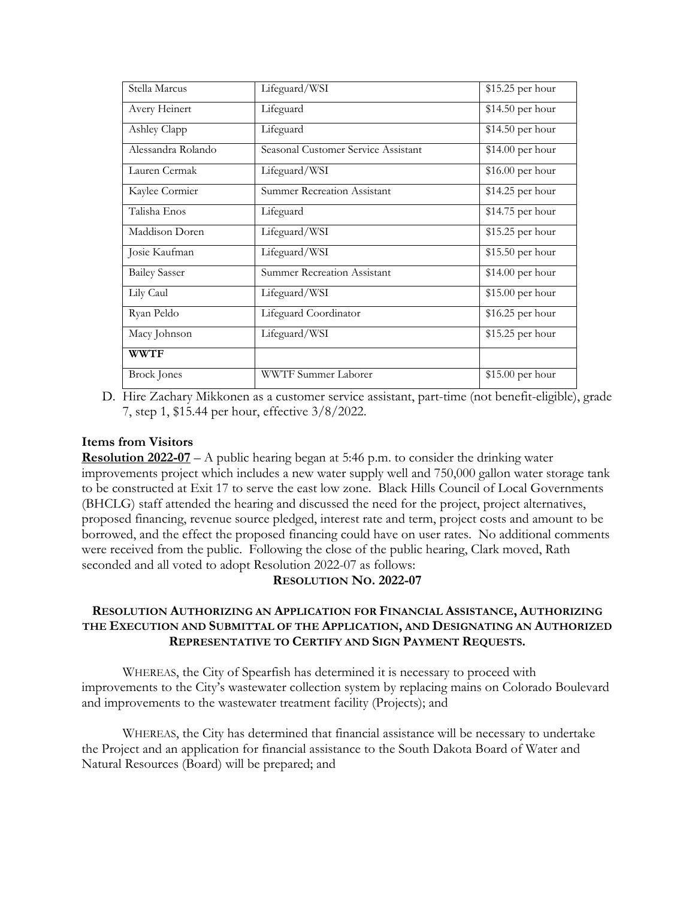| Stella Marcus        | Lifeguard/WSI                       | \$15.25 per hour  |
|----------------------|-------------------------------------|-------------------|
| Avery Heinert        | Lifeguard                           | \$14.50 per hour  |
| Ashley Clapp         | Lifeguard                           | $$14.50$ per hour |
| Alessandra Rolando   | Seasonal Customer Service Assistant | \$14.00 per hour  |
| Lauren Cermak        | Lifeguard/WSI                       | $$16.00$ per hour |
| Kaylee Cormier       | <b>Summer Recreation Assistant</b>  | \$14.25 per hour  |
| Talisha Enos         | Lifeguard                           | \$14.75 per hour  |
| Maddison Doren       | Lifeguard/WSI                       | \$15.25 per hour  |
| Josie Kaufman        | Lifeguard/WSI                       | $$15.50$ per hour |
| <b>Bailey Sasser</b> | <b>Summer Recreation Assistant</b>  | \$14.00 per hour  |
| Lily Caul            | Lifeguard/WSI                       | $$15.00$ per hour |
| Ryan Peldo           | Lifeguard Coordinator               | $$16.25$ per hour |
| Macy Johnson         | Lifeguard/WSI                       | \$15.25 per hour  |
| <b>WWTF</b>          |                                     |                   |
| <b>Brock</b> Jones   | WWTF Summer Laborer                 | \$15.00 per hour  |

D. Hire Zachary Mikkonen as a customer service assistant, part-time (not benefit-eligible), grade 7, step 1, \$15.44 per hour, effective 3/8/2022.

### **Items from Visitors**

**Resolution 2022-07** – A public hearing began at 5:46 p.m. to consider the drinking water improvements project which includes a new water supply well and 750,000 gallon water storage tank to be constructed at Exit 17 to serve the east low zone. Black Hills Council of Local Governments (BHCLG) staff attended the hearing and discussed the need for the project, project alternatives, proposed financing, revenue source pledged, interest rate and term, project costs and amount to be borrowed, and the effect the proposed financing could have on user rates. No additional comments were received from the public. Following the close of the public hearing, Clark moved, Rath seconded and all voted to adopt Resolution 2022-07 as follows:

#### **RESOLUTION NO. 2022-07**

## **RESOLUTION AUTHORIZING AN APPLICATION FOR FINANCIAL ASSISTANCE, AUTHORIZING THE EXECUTION AND SUBMITTAL OF THE APPLICATION, AND DESIGNATING AN AUTHORIZED REPRESENTATIVE TO CERTIFY AND SIGN PAYMENT REQUESTS.**

 WHEREAS, the City of Spearfish has determined it is necessary to proceed with improvements to the City's wastewater collection system by replacing mains on Colorado Boulevard and improvements to the wastewater treatment facility (Projects); and

 WHEREAS, the City has determined that financial assistance will be necessary to undertake the Project and an application for financial assistance to the South Dakota Board of Water and Natural Resources (Board) will be prepared; and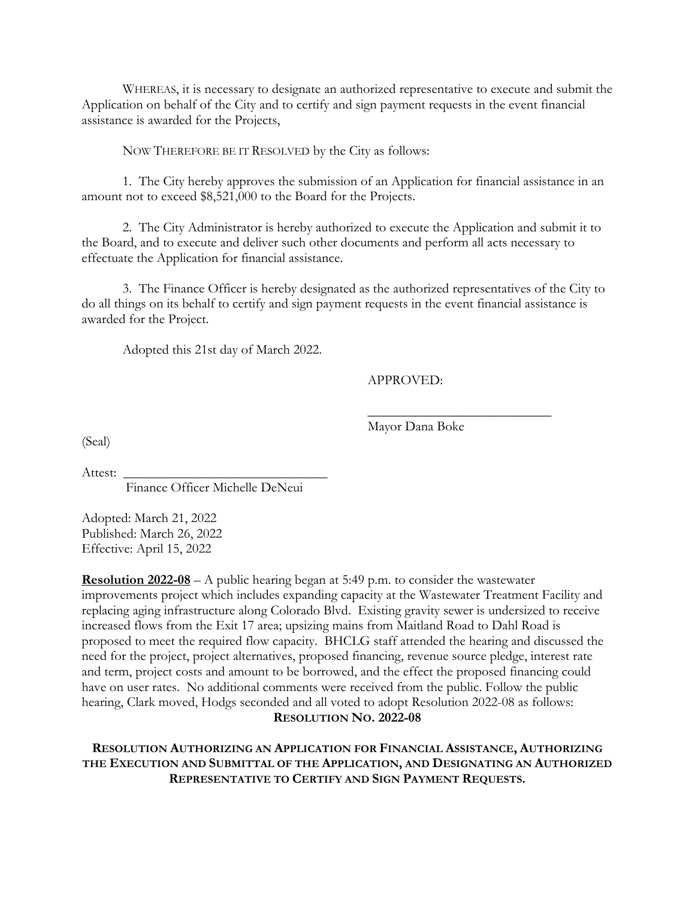WHEREAS, it is necessary to designate an authorized representative to execute and submit the Application on behalf of the City and to certify and sign payment requests in the event financial assistance is awarded for the Projects,

NOW THEREFORE BE IT RESOLVED by the City as follows:

 1. The City hereby approves the submission of an Application for financial assistance in an amount not to exceed \$8,521,000 to the Board for the Projects.

 2. The City Administrator is hereby authorized to execute the Application and submit it to the Board, and to execute and deliver such other documents and perform all acts necessary to effectuate the Application for financial assistance.

 3. The Finance Officer is hereby designated as the authorized representatives of the City to do all things on its behalf to certify and sign payment requests in the event financial assistance is awarded for the Project.

 $\frac{1}{\sqrt{2}}$  ,  $\frac{1}{\sqrt{2}}$  ,  $\frac{1}{\sqrt{2}}$  ,  $\frac{1}{\sqrt{2}}$  ,  $\frac{1}{\sqrt{2}}$  ,  $\frac{1}{\sqrt{2}}$  ,  $\frac{1}{\sqrt{2}}$  ,  $\frac{1}{\sqrt{2}}$  ,  $\frac{1}{\sqrt{2}}$  ,  $\frac{1}{\sqrt{2}}$  ,  $\frac{1}{\sqrt{2}}$  ,  $\frac{1}{\sqrt{2}}$  ,  $\frac{1}{\sqrt{2}}$  ,  $\frac{1}{\sqrt{2}}$  ,  $\frac{1}{\sqrt{2}}$ 

Adopted this 21st day of March 2022.

APPROVED:

Mayor Dana Boke

(Seal)

Attest:

Finance Officer Michelle DeNeui

Adopted: March 21, 2022 Published: March 26, 2022 Effective: April 15, 2022

**Resolution 2022-08** – A public hearing began at 5:49 p.m. to consider the wastewater improvements project which includes expanding capacity at the Wastewater Treatment Facility and replacing aging infrastructure along Colorado Blvd. Existing gravity sewer is undersized to receive increased flows from the Exit 17 area; upsizing mains from Maitland Road to Dahl Road is proposed to meet the required flow capacity. BHCLG staff attended the hearing and discussed the need for the project, project alternatives, proposed financing, revenue source pledge, interest rate and term, project costs and amount to be borrowed, and the effect the proposed financing could have on user rates. No additional comments were received from the public. Follow the public hearing, Clark moved, Hodgs seconded and all voted to adopt Resolution 2022-08 as follows: **RESOLUTION NO. 2022-08** 

**RESOLUTION AUTHORIZING AN APPLICATION FOR FINANCIAL ASSISTANCE, AUTHORIZING THE EXECUTION AND SUBMITTAL OF THE APPLICATION, AND DESIGNATING AN AUTHORIZED REPRESENTATIVE TO CERTIFY AND SIGN PAYMENT REQUESTS.**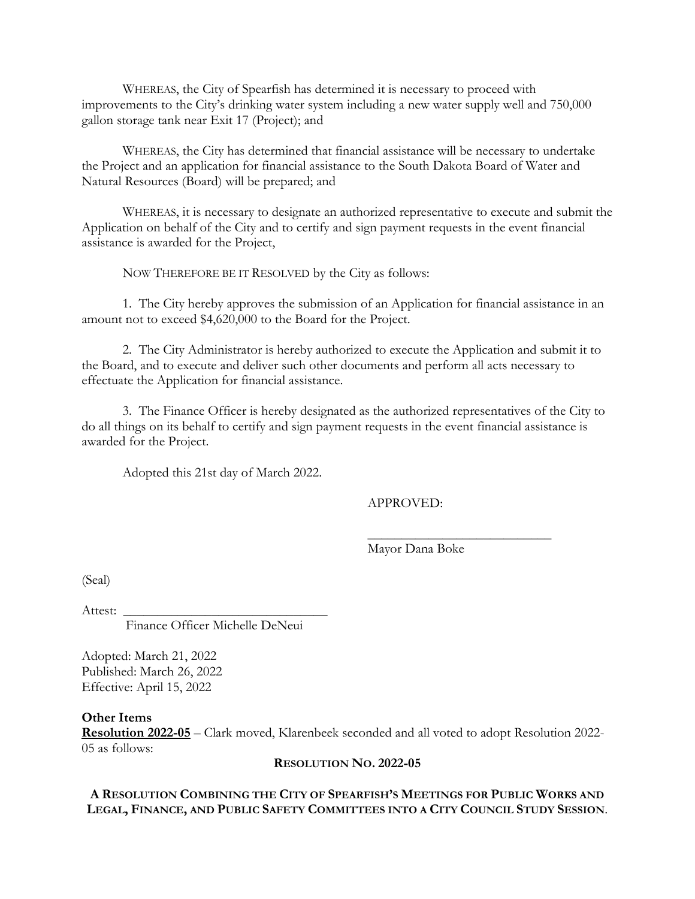WHEREAS, the City of Spearfish has determined it is necessary to proceed with improvements to the City's drinking water system including a new water supply well and 750,000 gallon storage tank near Exit 17 (Project); and

 WHEREAS, the City has determined that financial assistance will be necessary to undertake the Project and an application for financial assistance to the South Dakota Board of Water and Natural Resources (Board) will be prepared; and

 WHEREAS, it is necessary to designate an authorized representative to execute and submit the Application on behalf of the City and to certify and sign payment requests in the event financial assistance is awarded for the Project,

NOW THEREFORE BE IT RESOLVED by the City as follows:

 1. The City hereby approves the submission of an Application for financial assistance in an amount not to exceed \$4,620,000 to the Board for the Project.

 2. The City Administrator is hereby authorized to execute the Application and submit it to the Board, and to execute and deliver such other documents and perform all acts necessary to effectuate the Application for financial assistance.

 3. The Finance Officer is hereby designated as the authorized representatives of the City to do all things on its behalf to certify and sign payment requests in the event financial assistance is awarded for the Project.

 $\frac{1}{\sqrt{2}}$  ,  $\frac{1}{\sqrt{2}}$  ,  $\frac{1}{\sqrt{2}}$  ,  $\frac{1}{\sqrt{2}}$  ,  $\frac{1}{\sqrt{2}}$  ,  $\frac{1}{\sqrt{2}}$  ,  $\frac{1}{\sqrt{2}}$  ,  $\frac{1}{\sqrt{2}}$  ,  $\frac{1}{\sqrt{2}}$  ,  $\frac{1}{\sqrt{2}}$  ,  $\frac{1}{\sqrt{2}}$  ,  $\frac{1}{\sqrt{2}}$  ,  $\frac{1}{\sqrt{2}}$  ,  $\frac{1}{\sqrt{2}}$  ,  $\frac{1}{\sqrt{2}}$ 

Adopted this 21st day of March 2022.

APPROVED:

Mayor Dana Boke

(Seal)

Attest:

Finance Officer Michelle DeNeui

Adopted: March 21, 2022 Published: March 26, 2022 Effective: April 15, 2022

#### **Other Items**

**Resolution 2022-05** – Clark moved, Klarenbeek seconded and all voted to adopt Resolution 2022- 05 as follows:

#### **RESOLUTION NO. 2022-05**

## **A RESOLUTION COMBINING THE CITY OF SPEARFISH'S MEETINGS FOR PUBLIC WORKS AND LEGAL, FINANCE, AND PUBLIC SAFETY COMMITTEES INTO A CITY COUNCIL STUDY SESSION**.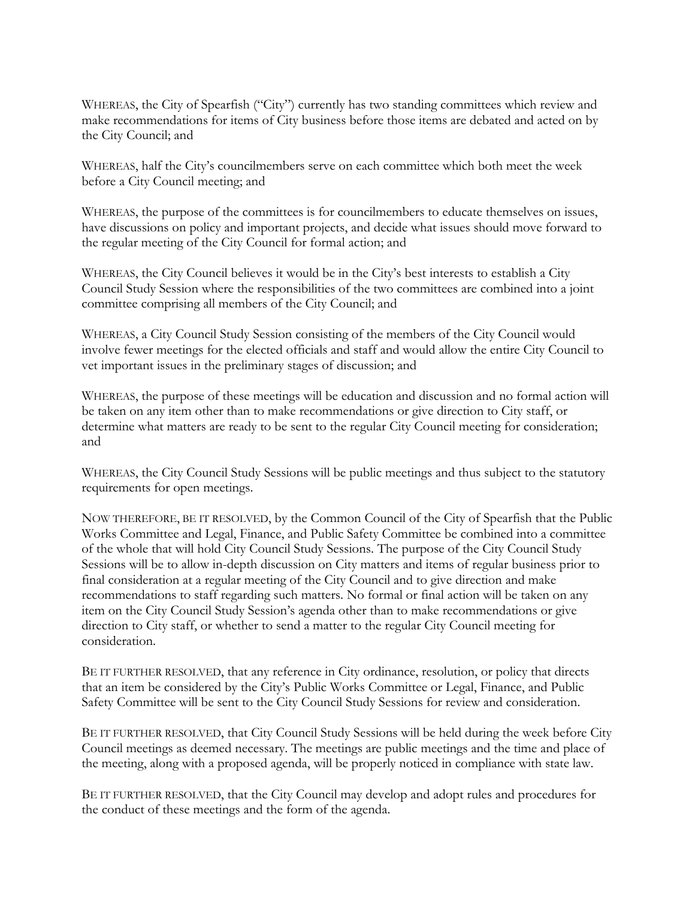WHEREAS, the City of Spearfish ("City") currently has two standing committees which review and make recommendations for items of City business before those items are debated and acted on by the City Council; and

WHEREAS, half the City's councilmembers serve on each committee which both meet the week before a City Council meeting; and

WHEREAS, the purpose of the committees is for councilmembers to educate themselves on issues, have discussions on policy and important projects, and decide what issues should move forward to the regular meeting of the City Council for formal action; and

WHEREAS, the City Council believes it would be in the City's best interests to establish a City Council Study Session where the responsibilities of the two committees are combined into a joint committee comprising all members of the City Council; and

WHEREAS, a City Council Study Session consisting of the members of the City Council would involve fewer meetings for the elected officials and staff and would allow the entire City Council to vet important issues in the preliminary stages of discussion; and

WHEREAS, the purpose of these meetings will be education and discussion and no formal action will be taken on any item other than to make recommendations or give direction to City staff, or determine what matters are ready to be sent to the regular City Council meeting for consideration; and

WHEREAS, the City Council Study Sessions will be public meetings and thus subject to the statutory requirements for open meetings.

NOW THEREFORE, BE IT RESOLVED, by the Common Council of the City of Spearfish that the Public Works Committee and Legal, Finance, and Public Safety Committee be combined into a committee of the whole that will hold City Council Study Sessions. The purpose of the City Council Study Sessions will be to allow in-depth discussion on City matters and items of regular business prior to final consideration at a regular meeting of the City Council and to give direction and make recommendations to staff regarding such matters. No formal or final action will be taken on any item on the City Council Study Session's agenda other than to make recommendations or give direction to City staff, or whether to send a matter to the regular City Council meeting for consideration.

BE IT FURTHER RESOLVED, that any reference in City ordinance, resolution, or policy that directs that an item be considered by the City's Public Works Committee or Legal, Finance, and Public Safety Committee will be sent to the City Council Study Sessions for review and consideration.

BE IT FURTHER RESOLVED, that City Council Study Sessions will be held during the week before City Council meetings as deemed necessary. The meetings are public meetings and the time and place of the meeting, along with a proposed agenda, will be properly noticed in compliance with state law.

BE IT FURTHER RESOLVED, that the City Council may develop and adopt rules and procedures for the conduct of these meetings and the form of the agenda.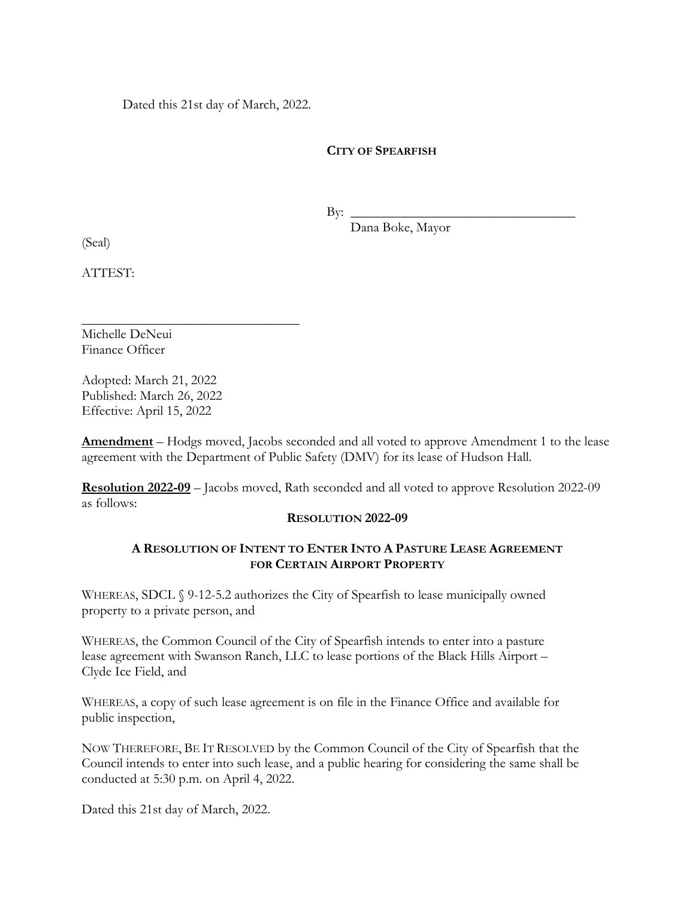Dated this 21st day of March, 2022.

## **CITY OF SPEARFISH**

 $\text{By:}\n\qquad \qquad \qquad$ 

Dana Boke, Mayor

(Seal)

ATTEST:

Michelle DeNeui Finance Officer

Adopted: March 21, 2022 Published: March 26, 2022 Effective: April 15, 2022

\_\_\_\_\_\_\_\_\_\_\_\_\_\_\_\_\_\_\_\_\_\_\_\_\_\_\_\_\_\_\_\_

**Amendment** – Hodgs moved, Jacobs seconded and all voted to approve Amendment 1 to the lease agreement with the Department of Public Safety (DMV) for its lease of Hudson Hall.

**Resolution 2022-09** – Jacobs moved, Rath seconded and all voted to approve Resolution 2022-09 as follows:

## **RESOLUTION 2022-09**

## **A RESOLUTION OF INTENT TO ENTER INTO A PASTURE LEASE AGREEMENT FOR CERTAIN AIRPORT PROPERTY**

WHEREAS, SDCL  $\Diamond$  9-12-5.2 authorizes the City of Spearfish to lease municipally owned property to a private person, and

WHEREAS, the Common Council of the City of Spearfish intends to enter into a pasture lease agreement with Swanson Ranch, LLC to lease portions of the Black Hills Airport – Clyde Ice Field, and

WHEREAS, a copy of such lease agreement is on file in the Finance Office and available for public inspection,

NOW THEREFORE, BE IT RESOLVED by the Common Council of the City of Spearfish that the Council intends to enter into such lease, and a public hearing for considering the same shall be conducted at 5:30 p.m. on April 4, 2022.

Dated this 21st day of March, 2022.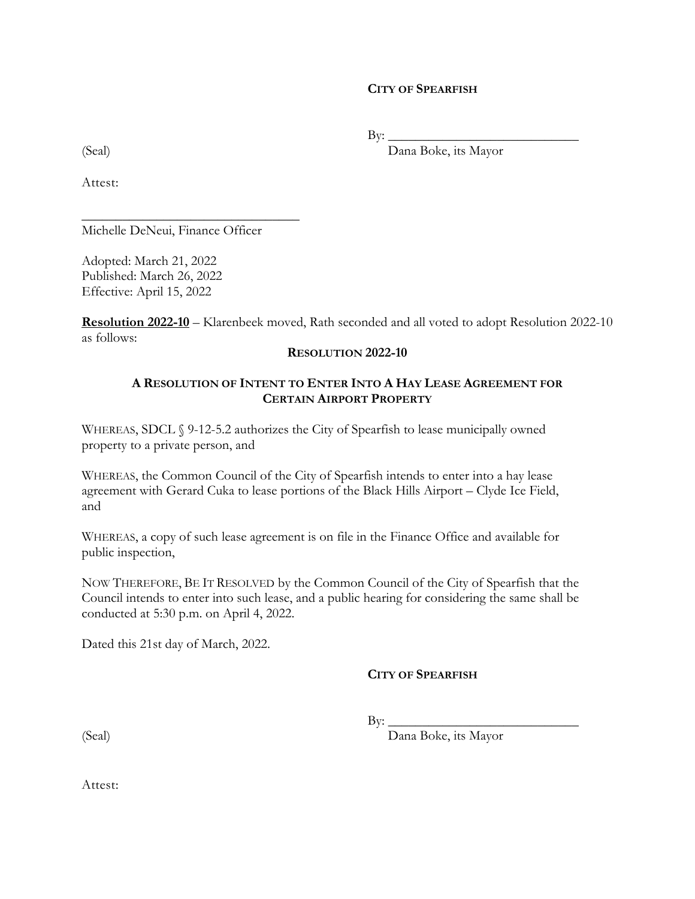#### **CITY OF SPEARFISH**

 $\mathrm{By:} \_\_$ 

(Seal) Dana Boke, its Mayor

Attest:

\_\_\_\_\_\_\_\_\_\_\_\_\_\_\_\_\_\_\_\_\_\_\_\_\_\_\_\_\_\_\_\_ Michelle DeNeui, Finance Officer

Adopted: March 21, 2022 Published: March 26, 2022 Effective: April 15, 2022

**Resolution 2022-10** – Klarenbeek moved, Rath seconded and all voted to adopt Resolution 2022-10 as follows:

## **RESOLUTION 2022-10**

## **A RESOLUTION OF INTENT TO ENTER INTO A HAY LEASE AGREEMENT FOR CERTAIN AIRPORT PROPERTY**

WHEREAS, SDCL § 9-12-5.2 authorizes the City of Spearfish to lease municipally owned property to a private person, and

WHEREAS, the Common Council of the City of Spearfish intends to enter into a hay lease agreement with Gerard Cuka to lease portions of the Black Hills Airport – Clyde Ice Field, and

WHEREAS, a copy of such lease agreement is on file in the Finance Office and available for public inspection,

NOW THEREFORE, BE IT RESOLVED by the Common Council of the City of Spearfish that the Council intends to enter into such lease, and a public hearing for considering the same shall be conducted at 5:30 p.m. on April 4, 2022.

Dated this 21st day of March, 2022.

## **CITY OF SPEARFISH**

 $\text{By:}\_$ 

(Seal) Dana Boke, its Mayor

Attest: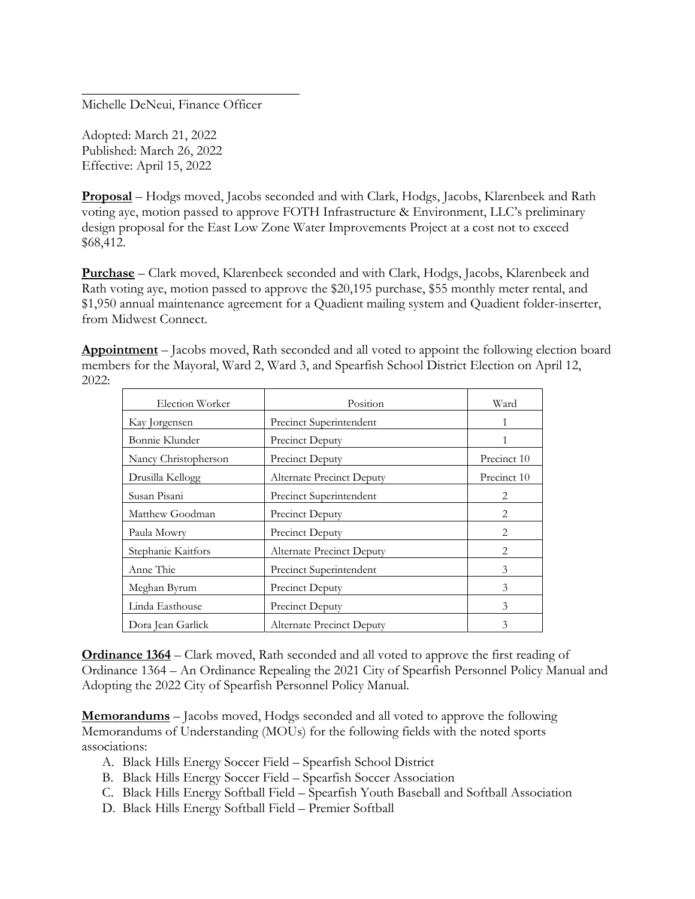Michelle DeNeui, Finance Officer

\_\_\_\_\_\_\_\_\_\_\_\_\_\_\_\_\_\_\_\_\_\_\_\_\_\_\_\_\_\_\_\_

Adopted: March 21, 2022 Published: March 26, 2022 Effective: April 15, 2022

**Proposal** – Hodgs moved, Jacobs seconded and with Clark, Hodgs, Jacobs, Klarenbeek and Rath voting aye, motion passed to approve FOTH Infrastructure & Environment, LLC's preliminary design proposal for the East Low Zone Water Improvements Project at a cost not to exceed \$68,412.

**Purchase** – Clark moved, Klarenbeek seconded and with Clark, Hodgs, Jacobs, Klarenbeek and Rath voting aye, motion passed to approve the \$20,195 purchase, \$55 monthly meter rental, and \$1,950 annual maintenance agreement for a Quadient mailing system and Quadient folder-inserter, from Midwest Connect.

**Appointment** – Jacobs moved, Rath seconded and all voted to appoint the following election board members for the Mayoral, Ward 2, Ward 3, and Spearfish School District Election on April 12, 2022:

| Election Worker      | Position                  | Ward        |
|----------------------|---------------------------|-------------|
| Kay Jorgensen        | Precinct Superintendent   | 1           |
| Bonnie Klunder       | Precinct Deputy           |             |
| Nancy Christopherson | <b>Precinct Deputy</b>    | Precinct 10 |
| Drusilla Kellogg     | Alternate Precinct Deputy | Precinct 10 |
| Susan Pisani         | Precinct Superintendent   | 2           |
| Matthew Goodman      | Precinct Deputy           | 2           |
| Paula Mowry          | Precinct Deputy           | 2           |
| Stephanie Kaitfors   | Alternate Precinct Deputy | 2           |
| Anne Thie            | Precinct Superintendent   | 3           |
| Meghan Byrum         | Precinct Deputy           | 3           |
| Linda Easthouse      | Precinct Deputy           | 3           |
| Dora Jean Garlick    | Alternate Precinct Deputy | 3           |

**Ordinance 1364** – Clark moved, Rath seconded and all voted to approve the first reading of Ordinance 1364 – An Ordinance Repealing the 2021 City of Spearfish Personnel Policy Manual and Adopting the 2022 City of Spearfish Personnel Policy Manual.

**Memorandums** – Jacobs moved, Hodgs seconded and all voted to approve the following Memorandums of Understanding (MOUs) for the following fields with the noted sports associations:

- A. Black Hills Energy Soccer Field Spearfish School District
- B. Black Hills Energy Soccer Field Spearfish Soccer Association
- C. Black Hills Energy Softball Field Spearfish Youth Baseball and Softball Association
- D. Black Hills Energy Softball Field Premier Softball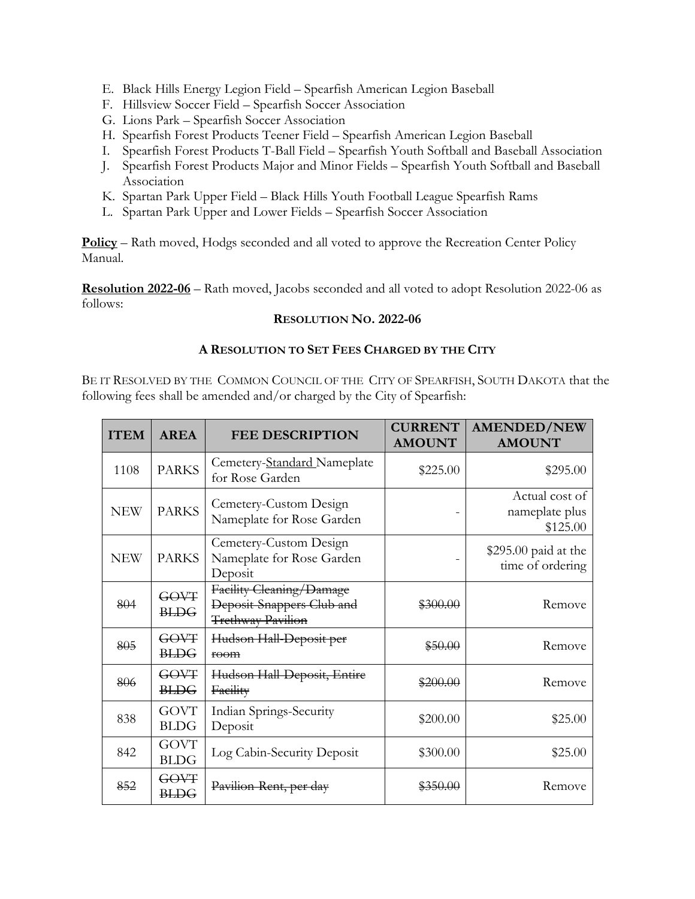- E. Black Hills Energy Legion Field Spearfish American Legion Baseball
- F. Hillsview Soccer Field Spearfish Soccer Association
- G. Lions Park Spearfish Soccer Association
- H. Spearfish Forest Products Teener Field Spearfish American Legion Baseball
- I. Spearfish Forest Products T-Ball Field Spearfish Youth Softball and Baseball Association
- J. Spearfish Forest Products Major and Minor Fields Spearfish Youth Softball and Baseball Association
- K. Spartan Park Upper Field Black Hills Youth Football League Spearfish Rams
- L. Spartan Park Upper and Lower Fields Spearfish Soccer Association

**Policy** – Rath moved, Hodgs seconded and all voted to approve the Recreation Center Policy Manual.

**Resolution 2022-06** – Rath moved, Jacobs seconded and all voted to adopt Resolution 2022-06 as follows:

#### **RESOLUTION NO. 2022-06**

### **A RESOLUTION TO SET FEES CHARGED BY THE CITY**

BE IT RESOLVED BY THE COMMON COUNCIL OF THE CITY OF SPEARFISH, SOUTH DAKOTA that the following fees shall be amended and/or charged by the City of Spearfish:

| <b>ITEM</b> | <b>AREA</b>                | <b>FEE DESCRIPTION</b>                                                     | <b>CURRENT</b><br><b>AMOUNT</b> | <b>AMENDED/NEW</b><br><b>AMOUNT</b>          |
|-------------|----------------------------|----------------------------------------------------------------------------|---------------------------------|----------------------------------------------|
| 1108        | <b>PARKS</b>               | Cemetery-Standard Nameplate<br>for Rose Garden                             | \$225.00                        | \$295.00                                     |
| <b>NEW</b>  | <b>PARKS</b>               | Cemetery-Custom Design<br>Nameplate for Rose Garden                        |                                 | Actual cost of<br>nameplate plus<br>\$125.00 |
| <b>NEW</b>  | <b>PARKS</b>               | Cemetery-Custom Design<br>Nameplate for Rose Garden<br>Deposit             |                                 | $$295.00$ paid at the<br>time of ordering    |
| 804         | GOVT<br><b>BLDG</b>        | Facility Cleaning/Damage<br>Deposit-Snappers Club and<br>Trethway Pavilion | \$300.00                        | Remove                                       |
| 805         | <b>GOVT</b><br><b>BLDG</b> | Hudson Hall-Deposit per<br>$f0$ om                                         | \$50.00                         | Remove                                       |
| 806         | <b>GOVT</b><br><b>BLDG</b> | Hudson Hall-Deposit, Entire<br>Facility                                    | \$200.00                        | Remove                                       |
| 838         | <b>GOVT</b><br><b>BLDG</b> | Indian Springs-Security<br>Deposit                                         | \$200.00                        | \$25.00                                      |
| 842         | <b>GOVT</b><br><b>BLDG</b> | Log Cabin-Security Deposit                                                 | \$300.00                        | \$25.00                                      |
| 852         | <b>GOVT</b><br><b>BLDG</b> | Pavilion-Rent, per day                                                     | 350.00                          | Remove                                       |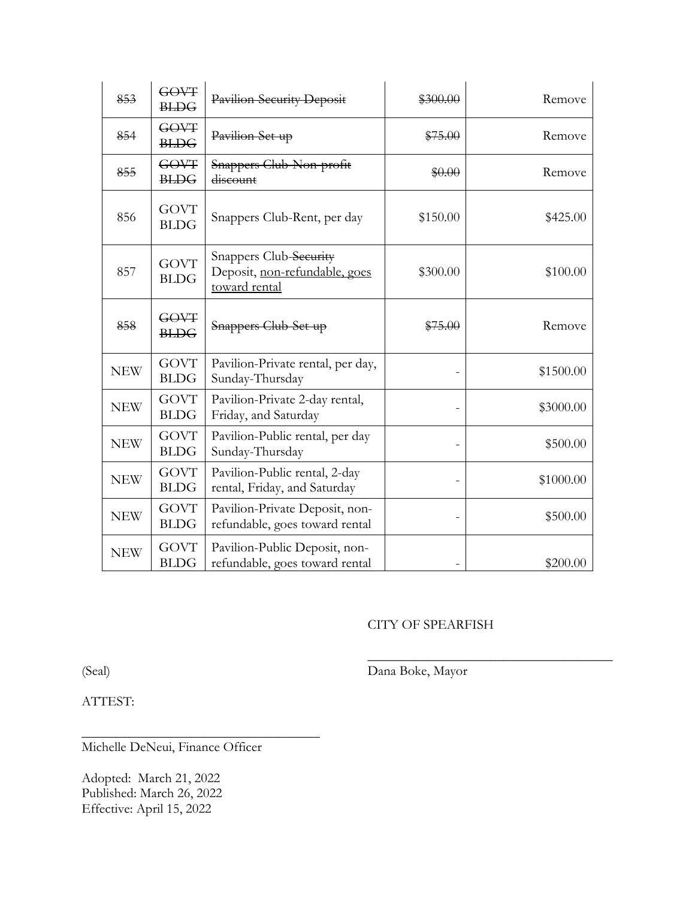| 853        | GOVT<br><b>BLDG</b>        | Pavilion-Security Deposit                                                | \$300.00                 | Remove    |
|------------|----------------------------|--------------------------------------------------------------------------|--------------------------|-----------|
| 854        | <b>GOVT</b><br><b>BLDG</b> | Pavilion-Set-up                                                          | \$75.00                  | Remove    |
| 855        | GOVT<br><b>BLDG</b>        | Snappers Club-Non-profit<br>discount                                     | \$0.00                   | Remove    |
| 856        | <b>GOVT</b><br><b>BLDG</b> | Snappers Club-Rent, per day                                              | \$150.00                 | \$425.00  |
| 857        | <b>GOVT</b><br><b>BLDG</b> | Snappers Club-Security<br>Deposit, non-refundable, goes<br>toward rental | \$300.00                 | \$100.00  |
| 858        | GOVT<br><b>BLDG</b>        | Snappers Club-Set-up                                                     | \$75.00                  | Remove    |
| <b>NEW</b> | <b>GOVT</b><br><b>BLDG</b> | Pavilion-Private rental, per day,<br>Sunday-Thursday                     |                          | \$1500.00 |
| <b>NEW</b> | <b>GOVT</b><br><b>BLDG</b> | Pavilion-Private 2-day rental,<br>Friday, and Saturday                   |                          | \$3000.00 |
| <b>NEW</b> | <b>GOVT</b><br><b>BLDG</b> | Pavilion-Public rental, per day<br>Sunday-Thursday                       |                          | \$500.00  |
| <b>NEW</b> | <b>GOVT</b><br><b>BLDG</b> | Pavilion-Public rental, 2-day<br>rental, Friday, and Saturday            | $\overline{\phantom{a}}$ | \$1000.00 |
| <b>NEW</b> | <b>GOVT</b><br><b>BLDG</b> | Pavilion-Private Deposit, non-<br>refundable, goes toward rental         |                          | \$500.00  |
| <b>NEW</b> | <b>GOVT</b><br><b>BLDG</b> | Pavilion-Public Deposit, non-<br>refundable, goes toward rental          |                          | \$200.00  |

## CITY OF SPEARFISH

 $\mathcal{L}_\text{max}$  , and the set of the set of the set of the set of the set of the set of the set of the set of the set of the set of the set of the set of the set of the set of the set of the set of the set of the set of the

(Seal) Dana Boke, Mayor

ATTEST:

Michelle DeNeui, Finance Officer

\_\_\_\_\_\_\_\_\_\_\_\_\_\_\_\_\_\_\_\_\_\_\_\_\_\_\_\_\_\_\_\_\_\_\_

Adopted: March 21, 2022 Published: March 26, 2022 Effective: April 15, 2022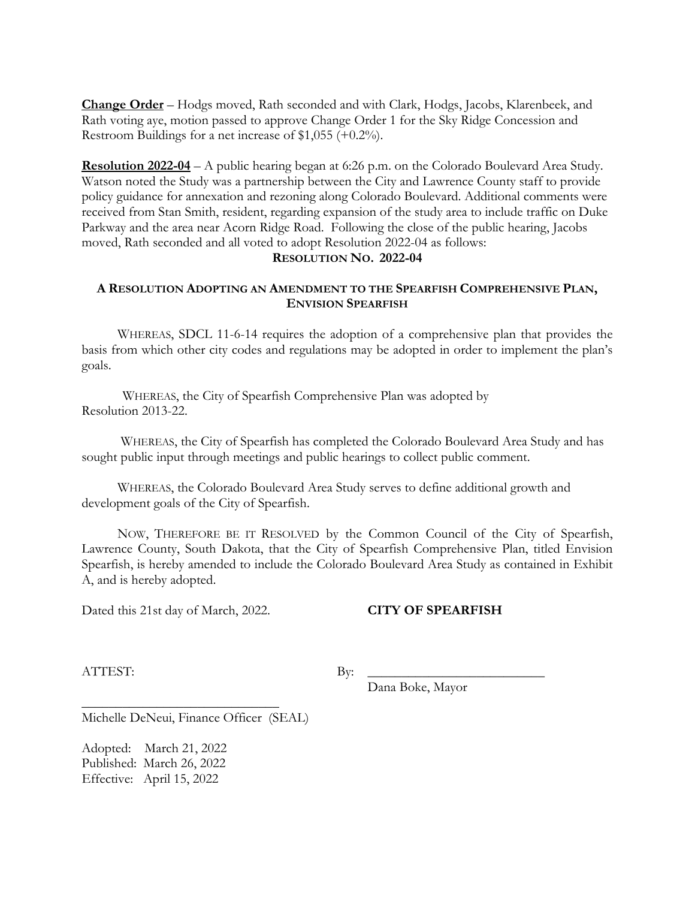**Change Order** – Hodgs moved, Rath seconded and with Clark, Hodgs, Jacobs, Klarenbeek, and Rath voting aye, motion passed to approve Change Order 1 for the Sky Ridge Concession and Restroom Buildings for a net increase of \$1,055 (+0.2%).

**Resolution 2022-04** – A public hearing began at 6:26 p.m. on the Colorado Boulevard Area Study. Watson noted the Study was a partnership between the City and Lawrence County staff to provide policy guidance for annexation and rezoning along Colorado Boulevard. Additional comments were received from Stan Smith, resident, regarding expansion of the study area to include traffic on Duke Parkway and the area near Acorn Ridge Road. Following the close of the public hearing, Jacobs moved, Rath seconded and all voted to adopt Resolution 2022-04 as follows: **RESOLUTION NO. 2022-04** 

#### **A RESOLUTION ADOPTING AN AMENDMENT TO THE SPEARFISH COMPREHENSIVE PLAN, ENVISION SPEARFISH**

WHEREAS, SDCL 11-6-14 requires the adoption of a comprehensive plan that provides the basis from which other city codes and regulations may be adopted in order to implement the plan's goals.

 WHEREAS, the City of Spearfish Comprehensive Plan was adopted by Resolution 2013-22.

 WHEREAS, the City of Spearfish has completed the Colorado Boulevard Area Study and has sought public input through meetings and public hearings to collect public comment.

WHEREAS, the Colorado Boulevard Area Study serves to define additional growth and development goals of the City of Spearfish.

NOW, THEREFORE BE IT RESOLVED by the Common Council of the City of Spearfish, Lawrence County, South Dakota, that the City of Spearfish Comprehensive Plan, titled Envision Spearfish, is hereby amended to include the Colorado Boulevard Area Study as contained in Exhibit A, and is hereby adopted.

Dated this 21st day of March, 2022. **CITY OF SPEARFISH** 

ATTEST: By: \_\_\_\_\_\_\_\_\_\_\_\_\_\_\_\_\_\_\_\_\_\_\_\_\_\_

Dana Boke, Mayor

Michelle DeNeui, Finance Officer (SEAL)

 $\frac{1}{2}$  ,  $\frac{1}{2}$  ,  $\frac{1}{2}$  ,  $\frac{1}{2}$  ,  $\frac{1}{2}$  ,  $\frac{1}{2}$  ,  $\frac{1}{2}$  ,  $\frac{1}{2}$  ,  $\frac{1}{2}$  ,  $\frac{1}{2}$  ,  $\frac{1}{2}$  ,  $\frac{1}{2}$  ,  $\frac{1}{2}$  ,  $\frac{1}{2}$  ,  $\frac{1}{2}$  ,  $\frac{1}{2}$  ,  $\frac{1}{2}$  ,  $\frac{1}{2}$  ,  $\frac{1$ 

Adopted: March 21, 2022 Published: March 26, 2022 Effective: April 15, 2022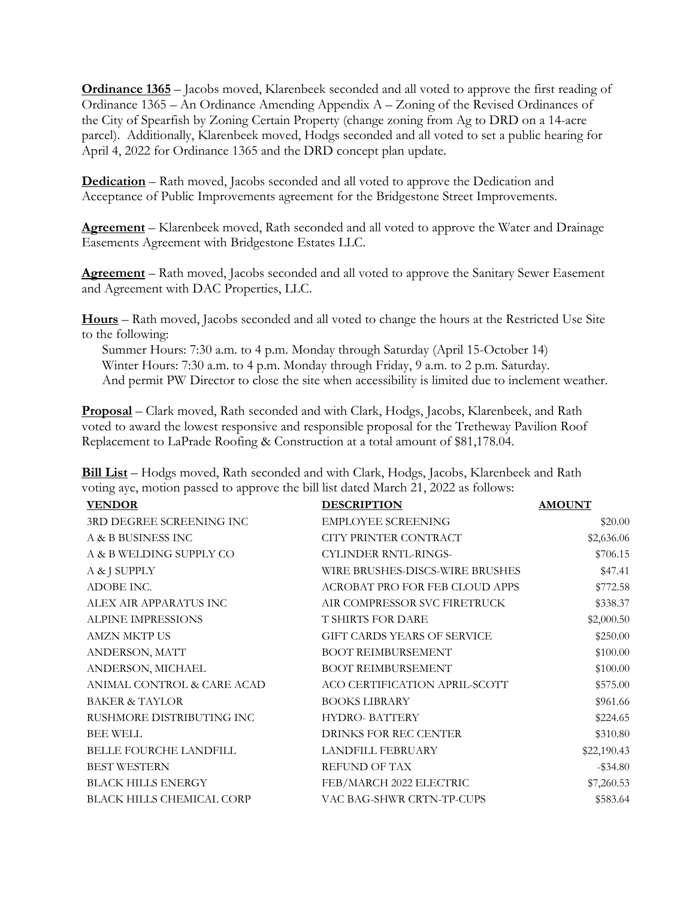**Ordinance 1365** – Jacobs moved, Klarenbeek seconded and all voted to approve the first reading of Ordinance 1365 – An Ordinance Amending Appendix A – Zoning of the Revised Ordinances of the City of Spearfish by Zoning Certain Property (change zoning from Ag to DRD on a 14-acre parcel). Additionally, Klarenbeek moved, Hodgs seconded and all voted to set a public hearing for April 4, 2022 for Ordinance 1365 and the DRD concept plan update.

**Dedication** – Rath moved, Jacobs seconded and all voted to approve the Dedication and Acceptance of Public Improvements agreement for the Bridgestone Street Improvements.

**Agreement** – Klarenbeek moved, Rath seconded and all voted to approve the Water and Drainage Easements Agreement with Bridgestone Estates LLC.

**Agreement** – Rath moved, Jacobs seconded and all voted to approve the Sanitary Sewer Easement and Agreement with DAC Properties, LLC.

**Hours** – Rath moved, Jacobs seconded and all voted to change the hours at the Restricted Use Site to the following:

Summer Hours: 7:30 a.m. to 4 p.m. Monday through Saturday (April 15-October 14) Winter Hours: 7:30 a.m. to 4 p.m. Monday through Friday, 9 a.m. to 2 p.m. Saturday. And permit PW Director to close the site when accessibility is limited due to inclement weather.

**Proposal** – Clark moved, Rath seconded and with Clark, Hodgs, Jacobs, Klarenbeek, and Rath voted to award the lowest responsive and responsible proposal for the Tretheway Pavilion Roof Replacement to LaPrade Roofing & Construction at a total amount of \$81,178.04.

| <b>VENDOR</b>                    | <b>DESCRIPTION</b>              | <b>AMOUNT</b> |
|----------------------------------|---------------------------------|---------------|
| 3RD DEGREE SCREENING INC         | <b>EMPLOYEE SCREENING</b>       | \$20.00       |
| A & B BUSINESS INC               | CITY PRINTER CONTRACT           | \$2,636.06    |
| A & B WELDING SUPPLY CO          | CYLINDER RNTL-RINGS-            | \$706.15      |
| A & J SUPPLY                     | WIRE BRUSHES-DISCS-WIRE BRUSHES | \$47.41       |
| ADOBE INC.                       | ACROBAT PRO FOR FEB CLOUD APPS  | \$772.58      |
| ALEX AIR APPARATUS INC           | AIR COMPRESSOR SVC FIRETRUCK    | \$338.37      |
| ALPINE IMPRESSIONS               | <b>T SHIRTS FOR DARE</b>        | \$2,000.50    |
| <b>AMZN MKTP US</b>              | GIFT CARDS YEARS OF SERVICE     | \$250.00      |
| ANDERSON, MATT                   | <b>BOOT REIMBURSEMENT</b>       | \$100.00      |
| ANDERSON, MICHAEL                | <b>BOOT REIMBURSEMENT</b>       | \$100.00      |
| ANIMAL CONTROL & CARE ACAD       | ACO CERTIFICATION APRIL-SCOTT   | \$575.00      |
| <b>BAKER &amp; TAYLOR</b>        | <b>BOOKS LIBRARY</b>            | \$961.66      |
| RUSHMORE DISTRIBUTING INC        | <b>HYDRO-BATTERY</b>            | \$224.65      |
| <b>BEE WELL</b>                  | DRINKS FOR REC CENTER           | \$310.80      |
| <b>BELLE FOURCHE LANDFILL</b>    | <b>LANDFILL FEBRUARY</b>        | \$22,190.43   |
| <b>BEST WESTERN</b>              | <b>REFUND OF TAX</b>            | $-$ \$34.80   |
| <b>BLACK HILLS ENERGY</b>        | FEB/MARCH 2022 ELECTRIC         | \$7,260.53    |
| <b>BLACK HILLS CHEMICAL CORP</b> | VAC BAG-SHWR CRTN-TP-CUPS       | \$583.64      |

**Bill List** – Hodgs moved, Rath seconded and with Clark, Hodgs, Jacobs, Klarenbeek and Rath voting aye, motion passed to approve the bill list dated March 21, 2022 as follows: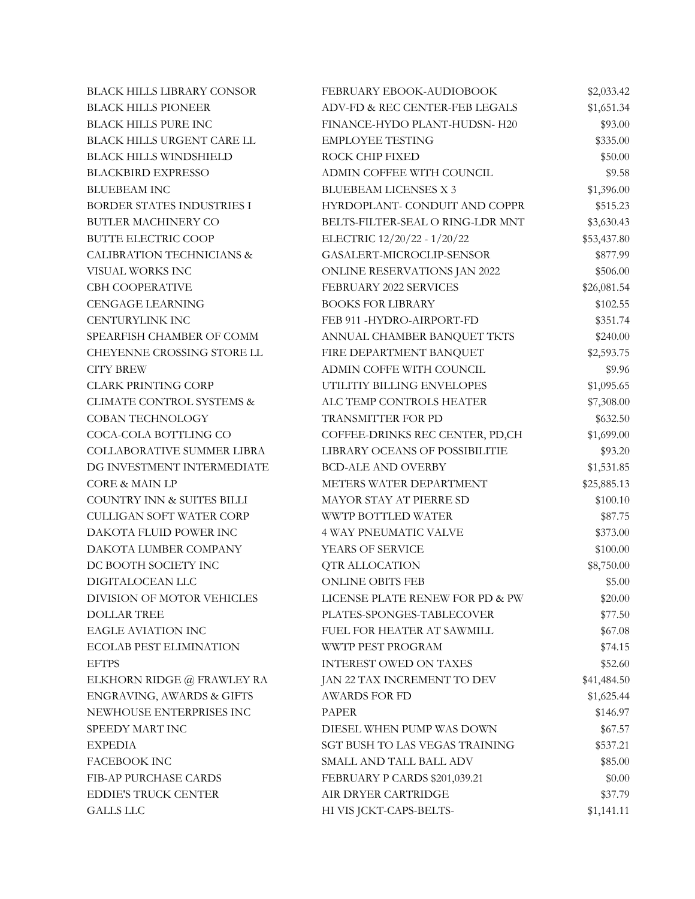| <b>BLACK HILLS LIBRARY CONSOR</b> | FEBRUARY EBOOK-AUDIOBOOK          | \$2,033.42  |
|-----------------------------------|-----------------------------------|-------------|
| <b>BLACK HILLS PIONEER</b>        | ADV-FD & REC CENTER-FEB LEGALS    | \$1,651.34  |
| <b>BLACK HILLS PURE INC</b>       | FINANCE-HYDO PLANT-HUDSN- H20     | \$93.00     |
| BLACK HILLS URGENT CARE LL        | <b>EMPLOYEE TESTING</b>           | \$335.00    |
| <b>BLACK HILLS WINDSHIELD</b>     | ROCK CHIP FIXED                   | \$50.00     |
| <b>BLACKBIRD EXPRESSO</b>         | ADMIN COFFEE WITH COUNCIL         | \$9.58      |
| <b>BLUEBEAM INC</b>               | <b>BLUEBEAM LICENSES X 3</b>      | \$1,396.00  |
| BORDER STATES INDUSTRIES I        | HYRDOPLANT- CONDUIT AND COPPR     | \$515.23    |
| <b>BUTLER MACHINERY CO</b>        | BELTS-FILTER-SEAL O RING-LDR MNT  | \$3,630.43  |
| <b>BUTTE ELECTRIC COOP</b>        | ELECTRIC 12/20/22 - 1/20/22       | \$53,437.80 |
| CALIBRATION TECHNICIANS &         | GASALERT-MICROCLIP-SENSOR         | \$877.99    |
| VISUAL WORKS INC                  | ONLINE RESERVATIONS JAN 2022      | \$506.00    |
| <b>CBH COOPERATIVE</b>            | FEBRUARY 2022 SERVICES            | \$26,081.54 |
| <b>CENGAGE LEARNING</b>           | <b>BOOKS FOR LIBRARY</b>          | \$102.55    |
| <b>CENTURYLINK INC</b>            | FEB 911 -HYDRO-AIRPORT-FD         | \$351.74    |
| SPEARFISH CHAMBER OF COMM         | ANNUAL CHAMBER BANQUET TKTS       | \$240.00    |
| CHEYENNE CROSSING STORE LL        | FIRE DEPARTMENT BANQUET           | \$2,593.75  |
| <b>CITY BREW</b>                  | ADMIN COFFE WITH COUNCIL          | \$9.96      |
| <b>CLARK PRINTING CORP</b>        | UTILITIY BILLING ENVELOPES        | \$1,095.65  |
| CLIMATE CONTROL SYSTEMS &         | ALC TEMP CONTROLS HEATER          | \$7,308.00  |
| COBAN TECHNOLOGY                  | TRANSMITTER FOR PD                | \$632.50    |
| COCA-COLA BOTTLING CO             | COFFEE-DRINKS REC CENTER, PD,CH   | \$1,699.00  |
| COLLABORATIVE SUMMER LIBRA        | LIBRARY OCEANS OF POSSIBILITIE    | \$93.20     |
| DG INVESTMENT INTERMEDIATE        | <b>BCD-ALE AND OVERBY</b>         | \$1,531.85  |
| <b>CORE &amp; MAIN LP</b>         | METERS WATER DEPARTMENT           | \$25,885.13 |
| COUNTRY INN & SUITES BILLI        | MAYOR STAY AT PIERRE SD           | \$100.10    |
| <b>CULLIGAN SOFT WATER CORP</b>   | WWTP BOTTLED WATER                | \$87.75     |
| DAKOTA FLUID POWER INC            | <b>4 WAY PNEUMATIC VALVE</b>      | \$373.00    |
| DAKOTA LUMBER COMPANY             | YEARS OF SERVICE                  | \$100.00    |
| DC BOOTH SOCIETY INC              | <b>QTR ALLOCATION</b>             | \$8,750.00  |
| DIGITALOCEAN LLC                  | <b>ONLINE OBITS FEB</b>           | \$5.00      |
| DIVISION OF MOTOR VEHICLES        | LICENSE PLATE RENEW FOR PD & PW   | \$20.00     |
| <b>DOLLAR TREE</b>                | PLATES-SPONGES-TABLECOVER         | \$77.50     |
| <b>EAGLE AVIATION INC</b>         | <b>FUEL FOR HEATER AT SAWMILL</b> | \$67.08     |
| <b>ECOLAB PEST ELIMINATION</b>    | WWTP PEST PROGRAM                 | \$74.15     |
| <b>EFTPS</b>                      | INTEREST OWED ON TAXES            | \$52.60     |
| ELKHORN RIDGE @ FRAWLEY RA        | JAN 22 TAX INCREMENT TO DEV       | \$41,484.50 |
| ENGRAVING, AWARDS & GIFTS         | <b>AWARDS FOR FD</b>              | \$1,625.44  |
| NEWHOUSE ENTERPRISES INC          | <b>PAPER</b>                      | \$146.97    |
| SPEEDY MART INC                   | DIESEL WHEN PUMP WAS DOWN         | \$67.57     |
| <b>EXPEDIA</b>                    | SGT BUSH TO LAS VEGAS TRAINING    | \$537.21    |
| FACEBOOK INC                      | SMALL AND TALL BALL ADV           | \$85.00     |
| FIB-AP PURCHASE CARDS             | FEBRUARY P CARDS \$201,039.21     | \$0.00      |
| <b>EDDIE'S TRUCK CENTER</b>       | AIR DRYER CARTRIDGE               | \$37.79     |
| <b>GALLS LLC</b>                  | HI VIS JCKT-CAPS-BELTS-           | \$1,141.11  |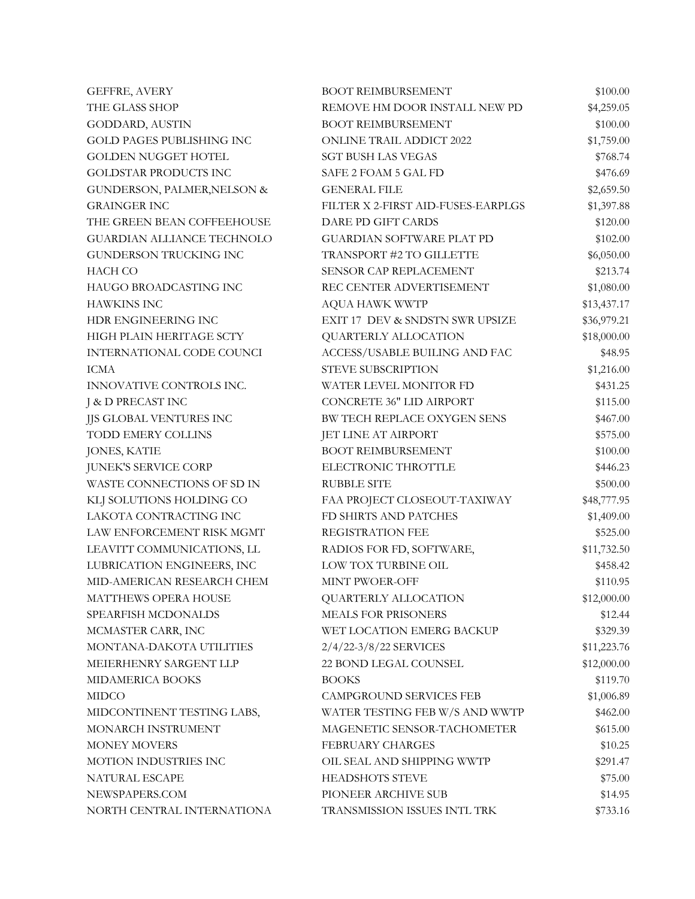| <b>GEFFRE, AVERY</b>              | <b>BOOT REIMBURSEMENT</b>          | \$100.00    |
|-----------------------------------|------------------------------------|-------------|
| THE GLASS SHOP                    | REMOVE HM DOOR INSTALL NEW PD      | \$4,259.05  |
| GODDARD, AUSTIN                   | <b>BOOT REIMBURSEMENT</b>          | \$100.00    |
| <b>GOLD PAGES PUBLISHING INC</b>  | <b>ONLINE TRAIL ADDICT 2022</b>    | \$1,759.00  |
| <b>GOLDEN NUGGET HOTEL</b>        | <b>SGT BUSH LAS VEGAS</b>          | \$768.74    |
| GOLDSTAR PRODUCTS INC             | SAFE 2 FOAM 5 GAL FD               | \$476.69    |
| GUNDERSON, PALMER, NELSON &       | <b>GENERAL FILE</b>                | \$2,659.50  |
| <b>GRAINGER INC</b>               | FILTER X 2-FIRST AID-FUSES-EARPLGS | \$1,397.88  |
| THE GREEN BEAN COFFEEHOUSE        | DARE PD GIFT CARDS                 | \$120.00    |
| <b>GUARDIAN ALLIANCE TECHNOLO</b> | <b>GUARDIAN SOFTWARE PLAT PD</b>   | \$102.00    |
| GUNDERSON TRUCKING INC            | TRANSPORT #2 TO GILLETTE           | \$6,050.00  |
| <b>HACH CO</b>                    | SENSOR CAP REPLACEMENT             | \$213.74    |
| HAUGO BROADCASTING INC            | REC CENTER ADVERTISEMENT           | \$1,080.00  |
| <b>HAWKINS INC</b>                | AQUA HAWK WWTP                     | \$13,437.17 |
| HDR ENGINEERING INC               | EXIT 17 DEV & SNDSTN SWR UPSIZE    | \$36,979.21 |
| HIGH PLAIN HERITAGE SCTY          | QUARTERLY ALLOCATION               | \$18,000.00 |
| INTERNATIONAL CODE COUNCI         | ACCESS/USABLE BUILING AND FAC      | \$48.95     |
| ICMA                              | STEVE SUBSCRIPTION                 | \$1,216.00  |
| INNOVATIVE CONTROLS INC.          | WATER LEVEL MONITOR FD             | \$431.25    |
| J & D PRECAST INC                 | CONCRETE 36" LID AIRPORT           | \$115.00    |
| JJS GLOBAL VENTURES INC           | BW TECH REPLACE OXYGEN SENS        | \$467.00    |
| <b>TODD EMERY COLLINS</b>         | JET LINE AT AIRPORT                | \$575.00    |
| <b>JONES, KATIE</b>               | <b>BOOT REIMBURSEMENT</b>          | \$100.00    |
| <b>JUNEK'S SERVICE CORP</b>       | ELECTRONIC THROTTLE                | \$446.23    |
| WASTE CONNECTIONS OF SD IN        | <b>RUBBLE SITE</b>                 | \$500.00    |
| KLJ SOLUTIONS HOLDING CO          | FAA PROJECT CLOSEOUT-TAXIWAY       | \$48,777.95 |
| LAKOTA CONTRACTING INC            | FD SHIRTS AND PATCHES              | \$1,409.00  |
| LAW ENFORCEMENT RISK MGMT         | REGISTRATION FEE                   | \$525.00    |
| LEAVITT COMMUNICATIONS, LL        | RADIOS FOR FD, SOFTWARE,           | \$11,732.50 |
| LUBRICATION ENGINEERS, INC        | LOW TOX TURBINE OIL                | \$458.42    |
| MID-AMERICAN RESEARCH CHEM        | MINT PWOER-OFF                     | \$110.95    |
| <b>MATTHEWS OPERA HOUSE</b>       | QUARTERLY ALLOCATION               | \$12,000.00 |
| SPEARFISH MCDONALDS               | <b>MEALS FOR PRISONERS</b>         | \$12.44     |
| MCMASTER CARR, INC                | WET LOCATION EMERG BACKUP          | \$329.39    |
| MONTANA-DAKOTA UTILITIES          | 2/4/22-3/8/22 SERVICES             | \$11,223.76 |
| MEIERHENRY SARGENT LLP            | 22 BOND LEGAL COUNSEL              | \$12,000.00 |
| MIDAMERICA BOOKS                  | <b>BOOKS</b>                       | \$119.70    |
| <b>MIDCO</b>                      | <b>CAMPGROUND SERVICES FEB</b>     | \$1,006.89  |
| MIDCONTINENT TESTING LABS,        | WATER TESTING FEB W/S AND WWTP     | \$462.00    |
| MONARCH INSTRUMENT                | MAGENETIC SENSOR-TACHOMETER        | \$615.00    |
| <b>MONEY MOVERS</b>               | <b>FEBRUARY CHARGES</b>            | \$10.25     |
| MOTION INDUSTRIES INC             | OIL SEAL AND SHIPPING WWTP         | \$291.47    |
| NATURAL ESCAPE                    | <b>HEADSHOTS STEVE</b>             | \$75.00     |
| NEWSPAPERS.COM                    | PIONEER ARCHIVE SUB                | \$14.95     |
| NORTH CENTRAL INTERNATIONA        | TRANSMISSION ISSUES INTL TRK       | \$733.16    |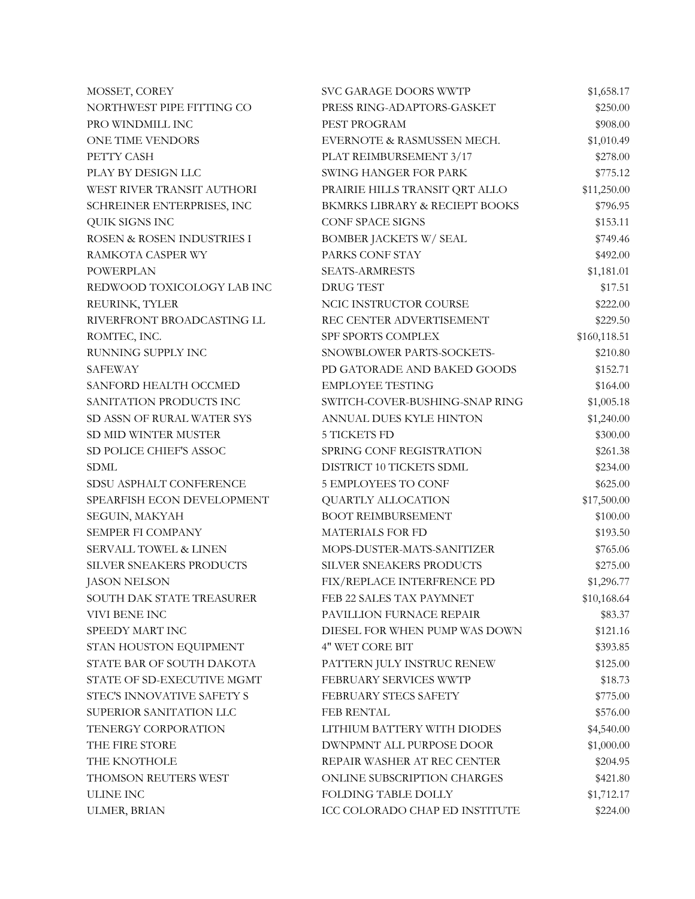| MOSSET, COREY              | SVC GARAGE DOORS WWTP          | \$1,658.17   |
|----------------------------|--------------------------------|--------------|
| NORTHWEST PIPE FITTING CO  | PRESS RING-ADAPTORS-GASKET     | \$250.00     |
| PRO WINDMILL INC           | PEST PROGRAM                   | \$908.00     |
| ONE TIME VENDORS           | EVERNOTE & RASMUSSEN MECH.     | \$1,010.49   |
| PETTY CASH                 | PLAT REIMBURSEMENT 3/17        | \$278.00     |
| PLAY BY DESIGN LLC         | <b>SWING HANGER FOR PARK</b>   | \$775.12     |
| WEST RIVER TRANSIT AUTHORI | PRAIRIE HILLS TRANSIT QRT ALLO | \$11,250.00  |
| SCHREINER ENTERPRISES, INC | BKMRKS LIBRARY & RECIEPT BOOKS | \$796.95     |
| QUIK SIGNS INC             | <b>CONF SPACE SIGNS</b>        | \$153.11     |
| ROSEN & ROSEN INDUSTRIES I | <b>BOMBER JACKETS W/ SEAL</b>  | \$749.46     |
| RAMKOTA CASPER WY          | PARKS CONF STAY                | \$492.00     |
| <b>POWERPLAN</b>           | <b>SEATS-ARMRESTS</b>          | \$1,181.01   |
| REDWOOD TOXICOLOGY LAB INC | DRUG TEST                      | \$17.51      |
| REURINK, TYLER             | NCIC INSTRUCTOR COURSE         | \$222.00     |
| RIVERFRONT BROADCASTING LL | REC CENTER ADVERTISEMENT       | \$229.50     |
| ROMTEC, INC.               | SPF SPORTS COMPLEX             | \$160,118.51 |
| RUNNING SUPPLY INC         | SNOWBLOWER PARTS-SOCKETS-      | \$210.80     |
| SAFEWAY                    | PD GATORADE AND BAKED GOODS    | \$152.71     |
| SANFORD HEALTH OCCMED      | <b>EMPLOYEE TESTING</b>        | \$164.00     |
| SANITATION PRODUCTS INC    | SWITCH-COVER-BUSHING-SNAP RING | \$1,005.18   |
| SD ASSN OF RURAL WATER SYS | ANNUAL DUES KYLE HINTON        | \$1,240.00   |
| SD MID WINTER MUSTER       | <b>5 TICKETS FD</b>            | \$300.00     |
| SD POLICE CHIEF'S ASSOC    | SPRING CONF REGISTRATION       | \$261.38     |
| <b>SDML</b>                | DISTRICT 10 TICKETS SDML       | \$234.00     |
| SDSU ASPHALT CONFERENCE    | 5 EMPLOYEES TO CONF            | \$625.00     |
| SPEARFISH ECON DEVELOPMENT | QUARTLY ALLOCATION             | \$17,500.00  |
| SEGUIN, MAKYAH             | <b>BOOT REIMBURSEMENT</b>      | \$100.00     |
| SEMPER FI COMPANY          | MATERIALS FOR FD               | \$193.50     |
| SERVALL TOWEL & LINEN      | MOPS-DUSTER-MATS-SANITIZER     | \$765.06     |
| SILVER SNEAKERS PRODUCTS   | SILVER SNEAKERS PRODUCTS       | \$275.00     |
| <b>JASON NELSON</b>        | FIX/REPLACE INTERFRENCE PD     | \$1,296.77   |
| SOUTH DAK STATE TREASURER  | FEB 22 SALES TAX PAYMNET       | \$10,168.64  |
| VIVI BENE INC              | PAVILLION FURNACE REPAIR       | \$83.37      |
| SPEEDY MART INC            | DIESEL FOR WHEN PUMP WAS DOWN  | \$121.16     |
| STAN HOUSTON EQUIPMENT     | 4" WET CORE BIT                | \$393.85     |
| STATE BAR OF SOUTH DAKOTA  | PATTERN JULY INSTRUC RENEW     | \$125.00     |
| STATE OF SD-EXECUTIVE MGMT | FEBRUARY SERVICES WWTP         | \$18.73      |
| STEC'S INNOVATIVE SAFETY S | FEBRUARY STECS SAFETY          | \$775.00     |
| SUPERIOR SANITATION LLC    | <b>FEB RENTAL</b>              | \$576.00     |
| TENERGY CORPORATION        | LITHIUM BATTERY WITH DIODES    | \$4,540.00   |
| THE FIRE STORE             | DWNPMNT ALL PURPOSE DOOR       | \$1,000.00   |
| THE KNOTHOLE               | REPAIR WASHER AT REC CENTER    | \$204.95     |
| THOMSON REUTERS WEST       | ONLINE SUBSCRIPTION CHARGES    | \$421.80     |
| ULINE INC                  | FOLDING TABLE DOLLY            | \$1,712.17   |
| ULMER, BRIAN               | ICC COLORADO CHAP ED INSTITUTE | \$224.00     |